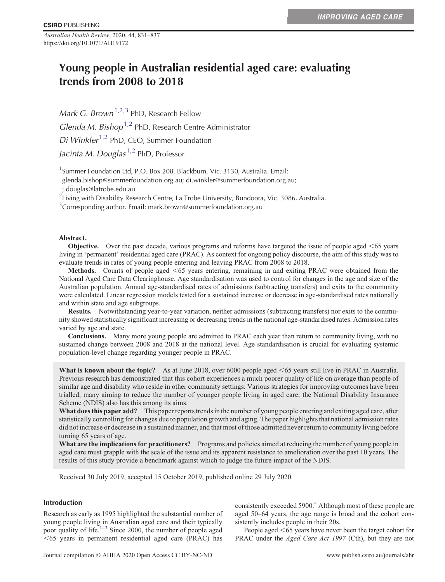*Australian Health Review*, 2020, 44, 831–837 https://doi.org/10.1071/AH19172

# Young people in Australian residential aged care: evaluating trends from 2008 to 2018

*Mark G. Brown*<sup>1,2,3</sup> PhD, Research Fellow Glenda M. Bishop<sup>1,2</sup> PhD, Research Centre Administrator Di Winkler<sup>1,2</sup> PhD, CEO, Summer Foundation Jacinta M. Douglas<sup>1,2</sup> PhD, Professor

<sup>1</sup> Summer Foundation Ltd, P.O. Box 208, Blackburn, Vic. 3130, Australia. Email:

glenda.bishop@summerfoundation.org.au; di.winkler@summerfoundation.org.au;

j.douglas@latrobe.edu.au 2 Living with Disability Research Centre, La Trobe University, Bundoora, Vic. 3086, Australia.

 $3$ Corresponding author. Email: mark.brown@summerfoundation.org.au

# Abstract.

**Objective.** Over the past decade, various programs and reforms have targeted the issue of people aged  $\leq 65$  years living in 'permanent' residential aged care (PRAC). As context for ongoing policy discourse, the aim of this study was to evaluate trends in rates of young people entering and leaving PRAC from 2008 to 2018.

**Methods.** Counts of people aged <65 years entering, remaining in and exiting PRAC were obtained from the National Aged Care Data Clearinghouse. Age standardisation was used to control for changes in the age and size of the Australian population. Annual age-standardised rates of admissions (subtracting transfers) and exits to the community were calculated. Linear regression models tested for a sustained increase or decrease in age-standardised rates nationally and within state and age subgroups.

**Results.** Notwithstanding year-to-year variation, neither admissions (subtracting transfers) nor exits to the community showed statistically significant increasing or decreasing trends in the national age-standardised rates. Admission rates varied by age and state.

**Conclusions.** Many more young people are admitted to PRAC each year than return to community living, with no sustained change between 2008 and 2018 at the national level. Age standardisation is crucial for evaluating systemic population-level change regarding younger people in PRAC.

**What is known about the topic?** As at June 2018, over 6000 people aged  $< 65$  years still live in PRAC in Australia. Previous research has demonstrated that this cohort experiences a much poorer quality of life on average than people of similar age and disability who reside in other community settings. Various strategies for improving outcomes have been trialled, many aiming to reduce the number of younger people living in aged care; the National Disability Insurance Scheme (NDIS) also has this among its aims.

**What does this paper add?** This paper reports trends in the number of young people entering and exiting aged care, after statistically controlling for changes due to population growth and aging. The paper highlights that national admission rates did not increase or decrease in a sustained manner, and that most of those admitted never return to community living before turning 65 years of age.

**What are the implications for practitioners?** Programs and policies aimed at reducing the number of young people in aged care must grapple with the scale of the issue and its apparent resistance to amelioration over the past 10 years. The results of this study provide a benchmark against which to judge the future impact of the NDIS.

Received 30 July 2019, accepted 15 October 2019, published online 29 July 2020

# Introduction

Research as early as 1995 highlighted the substantial number of young people living in Australian aged care and their typically poor quality of life. $1-3$  Since 2000, the number of people aged ,65 years in permanent residential aged care (PRAC) has consistently exceeded 5900.<sup>4</sup> Although most of these people are aged 50–64 years, the age range is broad and the cohort consistently includes people in their 20s.

People aged <65 years have never been the target cohort for PRAC under the *Aged Care Act 1997* (Cth), but they are not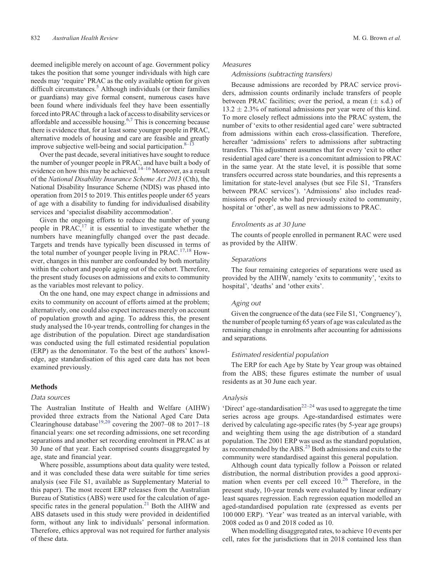deemed ineligible merely on account of age. Government policy takes the position that some younger individuals with high care needs may 'require' PRAC as the only available option for given difficult circumstances.<sup>[5](#page-5-0)</sup> Although individuals (or their families or guardians) may give formal consent, numerous cases have been found where individuals feel they have been essentially forced into PRAC through a lack of access to disability services or affordable and accessible housing.<sup>6,7</sup> This is concerning because there is evidence that, for at least some younger people in PRAC, alternative models of housing and care are feasible and greatly improve subjective well-being and social participation. $8-1$ 

Over the past decade, several initiatives have sought to reduce the number of younger people in PRAC, and have built a body of evidence on how this may be achieved.<sup>14–[16](#page-6-0)</sup> Moreover, as a result of the *National Disability Insurance Scheme Act 2013* (Cth), the National Disability Insurance Scheme (NDIS) was phased into operation from 2015 to 2019. This entitles people under 65 years of age with a disability to funding for individualised disability services and 'specialist disability accommodation'.

Given the ongoing efforts to reduce the number of young people in  $PRACT<sup>17</sup>$  it is essential to investigate whether the numbers have meaningfully changed over the past decade. Targets and trends have typically been discussed in terms of the total number of younger people living in PRAC.<sup>[17,18](#page-6-0)</sup> However, changes in this number are confounded by both mortality within the cohort and people aging out of the cohort. Therefore, the present study focuses on admissions and exits to community as the variables most relevant to policy.

On the one hand, one may expect change in admissions and exits to community on account of efforts aimed at the problem; alternatively, one could also expect increases merely on account of population growth and aging. To address this, the present study analysed the 10-year trends, controlling for changes in the age distribution of the population. Direct age standardisation was conducted using the full estimated residential population (ERP) as the denominator. To the best of the authors' knowledge, age standardisation of this aged care data has not been examined previously.

# Methods

## Data sources

The Australian Institute of Health and Welfare (AIHW) provided three extracts from the National Aged Care Data Clearinghouse database<sup>[19,20](#page-6-0)</sup> covering the 2007–08 to 2017–18 financial years: one set recording admissions, one set recording separations and another set recording enrolment in PRAC as at 30 June of that year. Each comprised counts disaggregated by age, state and financial year.

Where possible, assumptions about data quality were tested, and it was concluded these data were suitable for time series analysis (see File S1, available as Supplementary Material to this paper). The most recent ERP releases from the Australian Bureau of Statistics (ABS) were used for the calculation of agespecific rates in the general population. $21$  Both the AIHW and ABS datasets used in this study were provided in deidentified form, without any link to individuals' personal information. Therefore, ethics approval was not required for further analysis of these data.

# Measures

## Admissions (subtracting transfers)

Because admissions are recorded by PRAC service providers, admission counts ordinarily include transfers of people between PRAC facilities; over the period, a mean  $(\pm s.d.)$  of  $13.2 \pm 2.3\%$  of national admissions per year were of this kind. To more closely reflect admissions into the PRAC system, the number of 'exits to other residential aged care' were subtracted from admissions within each cross-classification. Therefore, hereafter 'admissions' refers to admissions after subtracting transfers. This adjustment assumes that for every 'exit to other residential aged care' there is a concomitant admission to PRAC in the same year. At the state level, it is possible that some transfers occurred across state boundaries, and this represents a limitation for state-level analyses (but see File S1, 'Transfers between PRAC services'). 'Admissions' also includes readmissions of people who had previously exited to community, hospital or 'other', as well as new admissions to PRAC.

#### Enrolments as at 30 June

The counts of people enrolled in permanent RAC were used as provided by the AIHW.

## **Separations**

The four remaining categories of separations were used as provided by the AIHW, namely 'exits to community', 'exits to hospital', 'deaths' and 'other exits'.

# Aging out

Given the congruence of the data (see File S1, 'Congruency'), the number of people turning 65 years of age was calculated as the remaining change in enrolments after accounting for admissions and separations.

### Estimated residential population

The ERP for each Age by State by Year group was obtained from the ABS; these figures estimate the number of usual residents as at 30 June each year.

## Analysis

'Direct' age-standardisation<sup>[22–24](#page-6-0)</sup> was used to aggregate the time series across age groups. Age-standardised estimates were derived by calculating age-specific rates (by 5-year age groups) and weighting them using the age distribution of a standard population. The 2001 ERP was used as the standard population, as recommended by the ABS.<sup>[25](#page-6-0)</sup> Both admissions and exits to the community were standardised against this general population.

Although count data typically follow a Poisson or related distribution, the normal distribution provides a good approximation when events per cell exceed  $10<sup>26</sup>$  $10<sup>26</sup>$  $10<sup>26</sup>$  Therefore, in the present study, 10-year trends were evaluated by linear ordinary least squares regression. Each regression equation modelled an aged-standardised population rate (expressed as events per 100 000 ERP). 'Year' was treated as an interval variable, with 2008 coded as 0 and 2018 coded as 10.

When modelling disaggregated rates, to achieve 10 events per cell, rates for the jurisdictions that in 2018 contained less than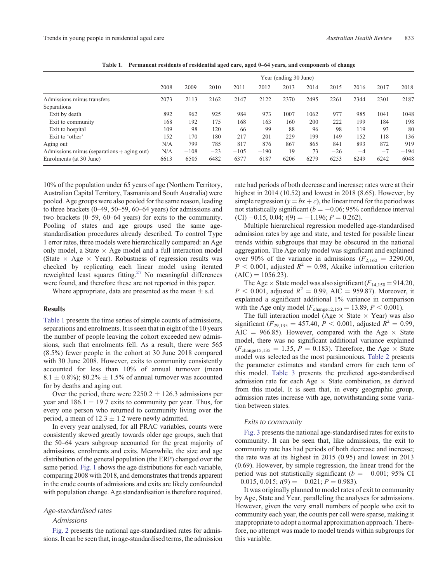|                                              | Year (ending 30 June) |        |       |        |        |      |      |       |      |      |        |
|----------------------------------------------|-----------------------|--------|-------|--------|--------|------|------|-------|------|------|--------|
|                                              | 2008                  | 2009   | 2010  | 2011   | 2012   | 2013 | 2014 | 2015  | 2016 | 2017 | 2018   |
| Admissions minus transfers                   | 2073                  | 2113   | 2162  | 2147   | 2122   | 2370 | 2495 | 2261  | 2344 | 2301 | 2187   |
| Separations                                  |                       |        |       |        |        |      |      |       |      |      |        |
| Exit by death                                | 892                   | 962    | 925   | 984    | 973    | 1007 | 1062 | 977   | 985  | 1041 | 1048   |
| Exit to community                            | 168                   | 192    | 175   | 168    | 163    | 160  | 200  | 222   | 199  | 184  | 198    |
| Exit to hospital                             | 109                   | 98     | 120   | 66     | 99     | 88   | 96   | 98    | 119  | 93   | 80     |
| Exit to 'other'                              | 152                   | 170    | 180   | 217    | 201    | 229  | 199  | 149   | 152  | 118  | 136    |
| Aging out                                    | N/A                   | 799    | 785   | 817    | 876    | 867  | 865  | 841   | 893  | 872  | 919    |
| Admissions minus (separations $+$ aging out) | N/A                   | $-108$ | $-23$ | $-105$ | $-190$ | 19   | 73   | $-26$ | $-4$ | $-7$ | $-194$ |
| Enrolments (at 30 June)                      | 6613                  | 6505   | 6482  | 6377   | 6187   | 6206 | 6279 | 6253  | 6249 | 6242 | 6048   |

**Table 1. Permanent residents of residential aged care, aged 0–64 years, and components of change**

10% of the population under 65 years of age (Northern Territory, Australian Capital Territory, Tasmania and South Australia) were pooled. Age groups were also pooled for the same reason, leading to three brackets (0–49, 50–59, 60–64 years) for admissions and two brackets (0–59, 60–64 years) for exits to the community. Pooling of states and age groups used the same agestandardisation procedures already described. To control Type 1 error rates, three models were hierarchically compared: an Age only model, a State  $\times$  Age model and a full interaction model (State  $\times$  Age  $\times$  Year). Robustness of regression results was checked by replicating each linear model using iterated reweighted least squares fitting[.27](#page-6-0) No meaningful differences were found, and therefore these are not reported in this paper.

Where appropriate, data are presented as the mean  $\pm$  s.d.

## **Results**

Table 1 presents the time series of simple counts of admissions, separations and enrolments. It is seen that in eight of the 10 years the number of people leaving the cohort exceeded new admissions, such that enrolments fell. As a result, there were 565 (8.5%) fewer people in the cohort at 30 June 2018 compared with 30 June 2008. However, exits to community consistently accounted for less than 10% of annual turnover (mean 8.1  $\pm$  0.8%); 80.2%  $\pm$  1.5% of annual turnover was accounted for by deaths and aging out.

Over the period, there were  $2250.2 \pm 126.3$  admissions per year and  $186.1 \pm 19.7$  exits to community per year. Thus, for every one person who returned to community living over the period, a mean of  $12.3 \pm 1.2$  were newly admitted.

In every year analysed, for all PRAC variables, counts were consistently skewed greatly towards older age groups, such that the 50–64 years subgroup accounted for the great majority of admissions, enrolments and exits. Meanwhile, the size and age distribution of the general population (the ERP) changed over the same period. [Fig. 1](#page-3-0) shows the age distributions for each variable, comparing 2008 with 2018, and demonstrates that trends apparent in the crude counts of admissions and exits are likely confounded with population change. Age standardisation is therefore required.

## Age-standardised rates

## Admissions

[Fig. 2](#page-4-0) presents the national age-standardised rates for admissions. It can be seen that, in age-standardised terms, the admission rate had periods of both decrease and increase; rates were at their highest in 2014 (10.52) and lowest in 2018 (8.65). However, by simple regression ( $y = bx + c$ ), the linear trend for the period was not statistically significant  $(b = -0.06; 95\%$  confidence interval  $(CI) -0.15$ , 0.04;  $t(9) = -1.196$ ;  $P = 0.262$ ).

Multiple hierarchical regression modelled age-standardised admission rates by age and state, and tested for possible linear trends within subgroups that may be obscured in the national aggregation. The Age only model was significant and explained over 90% of the variance in admissions  $(F_{2,162} = 3290.00,$  $P < 0.001$ , adjusted  $R^2 = 0.98$ , Akaike information criterion  $(AIC) = 1056.23$ .

The Age  $\times$  State model was also significant ( $F_{14,150} = 914.20$ ,  $P < 0.001$ , adjusted  $R^2 = 0.99$ , AIC = 959.87). Moreover, it explained a significant additional 1% variance in comparison with the Age only model  $(F_{\text{change12,150}} = 13.89, P < 0.001)$ .

The full interaction model (Age  $\times$  State  $\times$  Year) was also significant ( $F_{29,135} = 457.40, P < 0.001$ , adjusted  $R^2 = 0.99$ , AIC = 966.85). However, compared with the Age  $\times$  State model, there was no significant additional variance explained  $(F_{change15,135} = 1.35, P = 0.183)$ . Therefore, the Age  $\times$  State model was selected as the most parsimonious. [Table 2](#page-4-0) presents the parameter estimates and standard errors for each term of this model. [Table 3](#page-4-0) presents the predicted age-standardised admission rate for each Age  $\times$  State combination, as derived from this model. It is seen that, in every geographic group, admission rates increase with age, notwithstanding some variation between states.

#### Exits to community

[Fig. 3](#page-4-0) presents the national age-standardised rates for exits to community. It can be seen that, like admissions, the exit to community rate has had periods of both decrease and increase; the rate was at its highest in 2015 (0.95) and lowest in 2013 (0.69). However, by simple regression, the linear trend for the period was not statistically significant ( $b = -0.001$ ; 95% CI  $-0.015$ ,  $0.015$ ;  $t(9) = -0.021$ ;  $P = 0.983$ ).

It was originally planned to model rates of exit to community by Age, State and Year, paralleling the analyses for admissions. However, given the very small numbers of people who exit to community each year, the counts per cell were sparse, making it inappropriate to adopt a normal approximation approach. Therefore, no attempt was made to model trends within subgroups for this variable.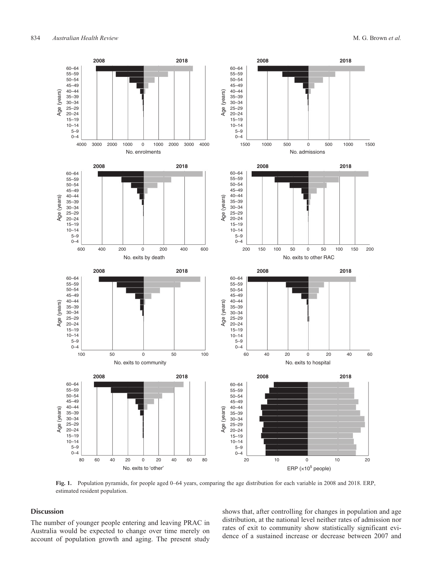<span id="page-3-0"></span>

**Fig. 1.** Population pyramids, for people aged 0–64 years, comparing the age distribution for each variable in 2008 and 2018. ERP, estimated resident population.

# Discussion

The number of younger people entering and leaving PRAC in Australia would be expected to change over time merely on account of population growth and aging. The present study

shows that, after controlling for changes in population and age distribution, at the national level neither rates of admission nor rates of exit to community show statistically significant evidence of a sustained increase or decrease between 2007 and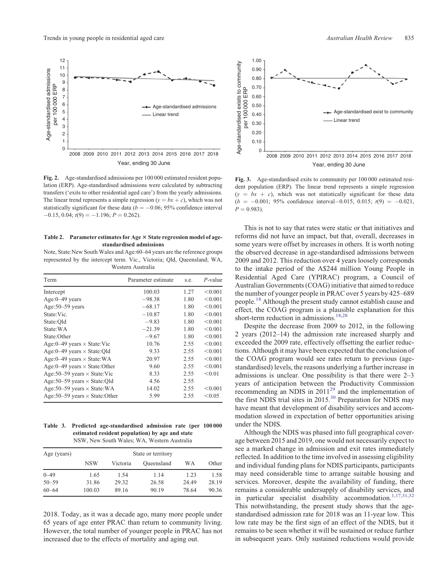<span id="page-4-0"></span>

**Fig. 2.** Age-standardised admissions per 100 000 estimated resident population (ERP). Age-standardised admissions were calculated by subtracting transfers ('exits to other residential aged care') from the yearly admissions. The linear trend represents a simple regression ( $y = bx + c$ ), which was not statistically significant for these data ( $b = -0.06$ ; 95% confidence interval  $-0.15$ , 0.04;  $t(9) = -1.196$ ;  $P = 0.262$ ).

#### Table 2. Parameter estimates for Age  $\times$  State regression model of age**standardised admissions**

Note, State:New South Wales and Age:60–64 years are the reference groups represented by the intercept term. Vic., Victoria; Qld, Queensland; WA, Western Australia

| Term                                     | Parameter estimate | s.e. | $P$ -value |
|------------------------------------------|--------------------|------|------------|
| Intercept                                | 100.03             | 1.27 | < 0.001    |
| $Age:0-49$ years                         | $-98.38$           | 1.80 | < 0.001    |
| Age: $50 - 59$ years                     | $-68.17$           | 1.80 | < 0.001    |
| State: Vic.                              | $-10.87$           | 1.80 | < 0.001    |
| State:Old                                | $-9.83$            | 1.80 | < 0.001    |
| State: WA                                | $-21.39$           | 1.80 | < 0.001    |
| State:Other                              | $-9.67$            | 1.80 | < 0.001    |
| Age: $0-49$ years $\times$ State: Vic    | 10.76              | 2.55 | < 0.001    |
| Age: $0-49$ years $\times$ State: Old    | 9.33               | 2.55 | < 0.001    |
| Age: $0-49$ years $\times$ State: WA     | 20.97              | 2.55 | < 0.001    |
| Age: $0-49$ years $\times$ State: Other  | 9.60               | 2.55 | < 0.001    |
| Age: $50-59$ years $\times$ State: Vic   | 8.33               | 2.55 | < 0.01     |
| Age: $50-59$ years $\times$ State: Qld   | 4.56               | 2.55 |            |
| Age: $50-59$ years $\times$ State: WA    | 14.02              | 2.55 | < 0.001    |
| Age: $50-59$ years $\times$ State: Other | 5.99               | 2.55 | < 0.05     |

**Table 3. Predicted age-standardised admission rate (per 100 000 estimated resident population) by age and state** NSW, New South Wales; WA, Western Australia

| Age (years) |            | State or territory |            |       |       |  |  |  |
|-------------|------------|--------------------|------------|-------|-------|--|--|--|
|             | <b>NSW</b> | Victoria           | Oueensland | WΑ    | Other |  |  |  |
| $0 - 49$    | 1.65       | 1.54               | 1.14       | 1.23  | 1.58  |  |  |  |
| $50 - 59$   | 31.86      | 29.32              | 26.58      | 24.49 | 28.19 |  |  |  |
| $60 - 64$   | 100.03     | 89.16              | 90.19      | 78.64 | 90.36 |  |  |  |

2018. Today, as it was a decade ago, many more people under 65 years of age enter PRAC than return to community living. However, the total number of younger people in PRAC has not increased due to the effects of mortality and aging out.



2008 2009 2010 2011 2012 2013 2014 2015 2016 2017 2018  $\Omega$ Year, ending 30 June

**Fig. 3.** Age-standardised exits to community per 100 000 estimated resident population (ERP). The linear trend represents a simple regression  $(y = bx + c)$ , which was not statistically significant for these data  $(b = -0.001; 95\%$  confidence interval -0.015, 0.015;  $t(9) = -0.021$ ,  $P = 0.983$ .

0.10

Age-standardised exists to community

Age-standardised exists to community

This is not to say that rates were static or that initiatives and reforms did not have an impact, but that, overall, decreases in some years were offset by increases in others. It is worth noting the observed decrease in age-standardised admissions between 2009 and 2012. This reduction over 4 years loosely corresponds to the intake period of the A\$244 million Young People in Residential Aged Care (YPIRAC) program, a Council of Australian Governments (COAG) initiative that aimed to reduce the number of younger people in PRAC over 5 years by 425–689 people.<sup>18</sup> Although the present study cannot establish cause and effect, the COAG program is a plausible explanation for this short-term reduction in admissions.<sup>[18,28](#page-6-0)</sup>

Despite the decrease from 2009 to 2012, in the following 2 years (2012–14) the admission rate increased sharply and exceeded the 2009 rate, effectively offsetting the earlier reductions. Although it may have been expected that the conclusion of the COAG program would see rates return to previous (agestandardised) levels, the reasons underlying a further increase in admissions is unclear. One possibility is that there were 2–3 years of anticipation between the Productivity Commission recommending an NDIS in  $2011^{29}$  $2011^{29}$  $2011^{29}$  and the implementation of the first NDIS trial sites in 2015.<sup>[30](#page-6-0)</sup> Preparation for NDIS may have meant that development of disability services and accommodation slowed in expectation of better opportunities arising under the NDIS.

Although the NDIS was phased into full geographical coverage between 2015 and 2019, one would not necessarily expect to see a marked change in admission and exit rates immediately reflected. In addition to the time involved in assessing eligibility and individual funding plans for NDIS participants, participants may need considerable time to arrange suitable housing and services. Moreover, despite the availability of funding, there remains a considerable undersupply of disability services, and in particular specialist disability accommodation.<sup>[1,](#page-5-0)[17,31,32](#page-6-0)</sup> This notwithstanding, the present study shows that the agestandardised admission rate for 2018 was an 11-year low. This low rate may be the first sign of an effect of the NDIS, but it remains to be seen whether it will be sustained or reduce further in subsequent years. Only sustained reductions would provide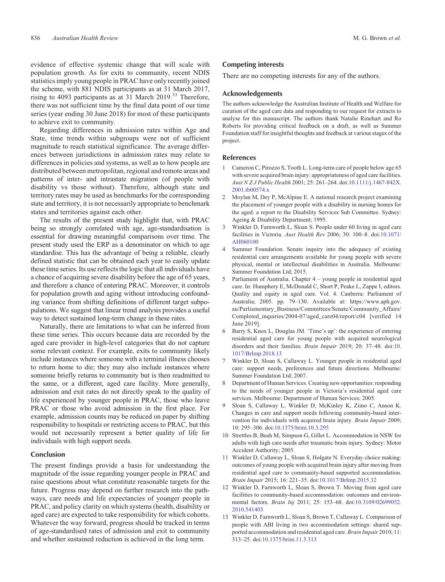<span id="page-5-0"></span>evidence of effective systemic change that will scale with population growth. As for exits to community, recent NDIS statistics imply young people in PRAC have only recently joined the scheme, with 881 NDIS participants as at 31 March 2017, rising to 4093 participants as at  $31$  March 2019.<sup>[33](#page-6-0)</sup> Therefore, there was not sufficient time by the final data point of our time series (year ending 30 June 2018) for most of these participants to achieve exit to community.

Regarding differences in admission rates within Age and State, time trends within subgroups were not of sufficient magnitude to reach statistical significance. The average differences between jurisdictions in admission rates may relate to differences in policies and systems, as well as to how people are distributed between metropolitan, regional and remote areas and patterns of inter- and intrastate migration (of people with disability vs those without). Therefore, although state and territory rates may be used as benchmarks for the corresponding state and territory, it is not necessarily appropriate to benchmark states and territories against each other.

The results of the present study highlight that, with PRAC being so strongly correlated with age, age-standardisation is essential for drawing meaningful comparisons over time. The present study used the ERP as a denominator on which to age standardise. This has the advantage of being a reliable, clearly defined statistic that can be obtained each year to easily update these time series. Its use reflects the logic that all individuals have a chance of acquiring severe disability before the age of 65 years, and therefore a chance of entering PRAC. Moreover, it controls for population growth and aging without introducing confounding variance from shifting definitions of different target subpopulations. We suggest that linear trend analysis provides a useful way to detect sustained long-term change in these rates.

Naturally, there are limitations to what can be inferred from these time series. This occurs because data are recorded by the aged care provider in high-level categories that do not capture some relevant context. For example, exits to community likely include instances where someone with a terminal illness chooses to return home to die; they may also include instances where someone briefly returns to community but is then readmitted to the same, or a different, aged care facility. More generally, admission and exit rates do not directly speak to the quality of life experienced by younger people in PRAC, those who leave PRAC or those who avoid admission in the first place. For example, admission counts may be reduced on paper by shifting responsibility to hospitals or restricting access to PRAC, but this would not necessarily represent a better quality of life for individuals with high support needs.

## Conclusion

The present findings provide a basis for understanding the magnitude of the issue regarding younger people in PRAC and raise questions about what constitute reasonable targets for the future. Progress may depend on further research into the pathways, care needs and life expectancies of younger people in PRAC, and policy clarity on which systems (health, disability or aged care) are expected to take responsibility for which cohorts. Whatever the way forward, progress should be tracked in terms of age-standardised rates of admission and exit to community and whether sustained reduction is achieved in the long term.

## Competing interests

There are no competing interests for any of the authors.

#### Acknowledgements

The authors acknowledge the Australian Institute of Health and Welfare for curation of the aged care data and responding to our request for extracts to analyse for this manuscript. The authors thank Natalie Rinehart and Ro Roberts for providing critical feedback on a draft, as well as Summer Foundation staff for insightful thoughts and feedback at various stages of the project.

#### References

- 1 Cameron C, Pirozzo S, Tooth L. Long-term care of people below age 65 with severe acquired brain injury: appropriateness of aged care facilities. *Aust N Z J Public Health* 2001; 25: 261–264. doi:[10.1111/j.1467-842X.](http://dx.doi.org/10.1111/j.1467-842X.2001.tb00574.x) [2001.tb00574.x](http://dx.doi.org/10.1111/j.1467-842X.2001.tb00574.x)
- 2 Moylan M, Dey P, McAlpine E. A national research project examining the placement of younger people with a disability in nursing homes for the aged: a report to the Disability Services Sub Committee. Sydney: Ageing & Disability Department; 1995.
- 3 Winkler D, Farnworth L, Sloan S. People under 60 living in aged care facilities in Victoria. *Aust Health Rev* 2006; 30: 100–8. doi[:10.1071/](http://dx.doi.org/10.1071/AH060100) [AH060100](http://dx.doi.org/10.1071/AH060100)
- 4 Summer Foundation. Senate inquiry into the adequacy of existing residential care arrangements available for young people with severe physical, mental or intellectual disabilities in Australia. Melbourne: Summer Foundation Ltd; 2015.
- 5 Parliament of Australia. Chapter 4 young people in residential aged care. In: Humphery E, McDonald C, Short P, Peake L, Zappe I, editors. Quality and equity in aged care. Vol. 4. Canberra: Parliament of Australia; 2005. pp. 79–130. Available at: [https://www.aph.gov.](https://www.aph.gov.au/Parliamentary_Business/Committees/Senate/Community_Affairs/Completed_inquiries/2004-07/aged_care04/report/c04) [au/Parliamentary\\_Business/Committees/Senate/Community\\_Affairs/](https://www.aph.gov.au/Parliamentary_Business/Committees/Senate/Community_Affairs/Completed_inquiries/2004-07/aged_care04/report/c04) [Completed\\_inquiries/2004-07/aged\\_care04/report/c04](https://www.aph.gov.au/Parliamentary_Business/Committees/Senate/Community_Affairs/Completed_inquiries/2004-07/aged_care04/report/c04) [verified 14 June 2019].
- 6 Barry S, Knox L, Douglas JM. 'Time's up': the experience of entering residential aged care for young people with acquired neurological disorders and their families. *Brain Impair* 2019; 20: 37–48. doi[:10.](http://dx.doi.org/10.1017/BrImp.2018.13) [1017/BrImp.2018.13](http://dx.doi.org/10.1017/BrImp.2018.13)
- 7 Winkler D, Sloan S, Callaway L. Younger people in residential aged care: support needs, preferences and future directions. Melbourne: Summer Foundation Ltd; 2007.
- 8 Department of Human Services. Creating new opportunities: responding to the needs of younger people in Victoria's residential aged care services. Melbourne: Department of Human Services; 2005.
- 9 Sloan S, Callaway L, Winkler D, McKinley K, Ziino C, Anson K. Changes in care and support needs following community-based intervention for individuals with acquired brain injury. *Brain Impair* 2009; 10: 295–306. doi[:10.1375/brim.10.3.295](http://dx.doi.org/10.1375/brim.10.3.295)
- 10 Strettles B, Bush M, Simpson G, Gillet L. Accommodation in NSW for adults with high care needs after traumatic brain injury. Sydney: Motor Accident Authority; 2005.
- 11 Winkler D, Callaway L, Sloan S, Holgate N. Everyday choice making: outcomes of young people with acquired brain injury after moving from residential aged care to community-based supported accommodation. *Brain Impair* 2015; 16: 221–35. doi[:10.1017/BrImp.2015.32](http://dx.doi.org/10.1017/BrImp.2015.32)
- 12 Winkler D, Farnworth L, Sloan S, Brown T. Moving from aged care facilities to community-based accommodation: outcomes and environmental factors. *Brain Inj* 2011; 25: 153–68. doi[:10.3109/02699052.](http://dx.doi.org/10.3109/02699052.2010.541403) [2010.541403](http://dx.doi.org/10.3109/02699052.2010.541403)
- 13 Winkler D, Farnworth L, Sloan S, Brown T, Callaway L. Comparison of people with ABI living in two accommodation settings: shared supported accommodation and residential aged care. *Brain Impair* 2010; 11: 313–25. doi:[10.1375/brim.11.3.313](http://dx.doi.org/10.1375/brim.11.3.313)